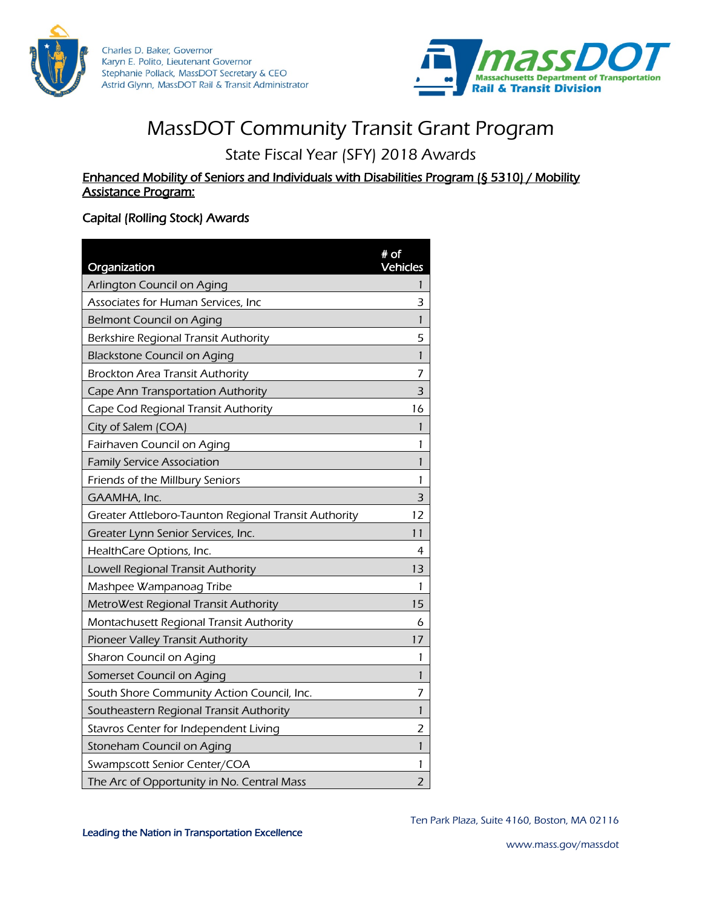

Charles D. Baker, Governor Karyn E. Polito, Lieutenant Governor Stephanie Pollack, MassDOT Secretary & CEO Astrid Glynn, MassDOT Rail & Transit Administrator



# MassDOT Community Transit Grant Program

State Fiscal Year (SFY) 2018 Awards

### Enhanced Mobility of Seniors and Individuals with Disabilities Program (§ 5310) / Mobility Assistance Program:

### Capital (Rolling Stock) Awards

| Organization                                         | $#$ of<br>Vehicles |
|------------------------------------------------------|--------------------|
| Arlington Council on Aging                           | 1                  |
| Associates for Human Services, Inc                   | 3                  |
| <b>Belmont Council on Aging</b>                      | 1                  |
| Berkshire Regional Transit Authority                 | 5                  |
| <b>Blackstone Council on Aging</b>                   | 1                  |
| <b>Brockton Area Transit Authority</b>               | 7                  |
| Cape Ann Transportation Authority                    | 3                  |
| Cape Cod Regional Transit Authority                  | 16                 |
| City of Salem (COA)                                  | 1                  |
| Fairhaven Council on Aging                           | 1                  |
| <b>Family Service Association</b>                    | 1                  |
| Friends of the Millbury Seniors                      | 1                  |
| GAAMHA, Inc.                                         | 3                  |
| Greater Attleboro-Taunton Regional Transit Authority | 12                 |
| Greater Lynn Senior Services, Inc.                   | 11                 |
| HealthCare Options, Inc.                             | 4                  |
| Lowell Regional Transit Authority                    | 13                 |
| Mashpee Wampanoag Tribe                              | 1                  |
| MetroWest Regional Transit Authority                 | 15                 |
| Montachusett Regional Transit Authority              | 6                  |
| Pioneer Valley Transit Authority                     | 17                 |
| Sharon Council on Aging                              | 1                  |
| Somerset Council on Aging                            | 1                  |
| South Shore Community Action Council, Inc.           | 7                  |
| Southeastern Regional Transit Authority              | 1                  |
| Stavros Center for Independent Living                | 2                  |
| Stoneham Council on Aging                            | 1                  |
| Swampscott Senior Center/COA                         | 1                  |
| The Arc of Opportunity in No. Central Mass           | 2                  |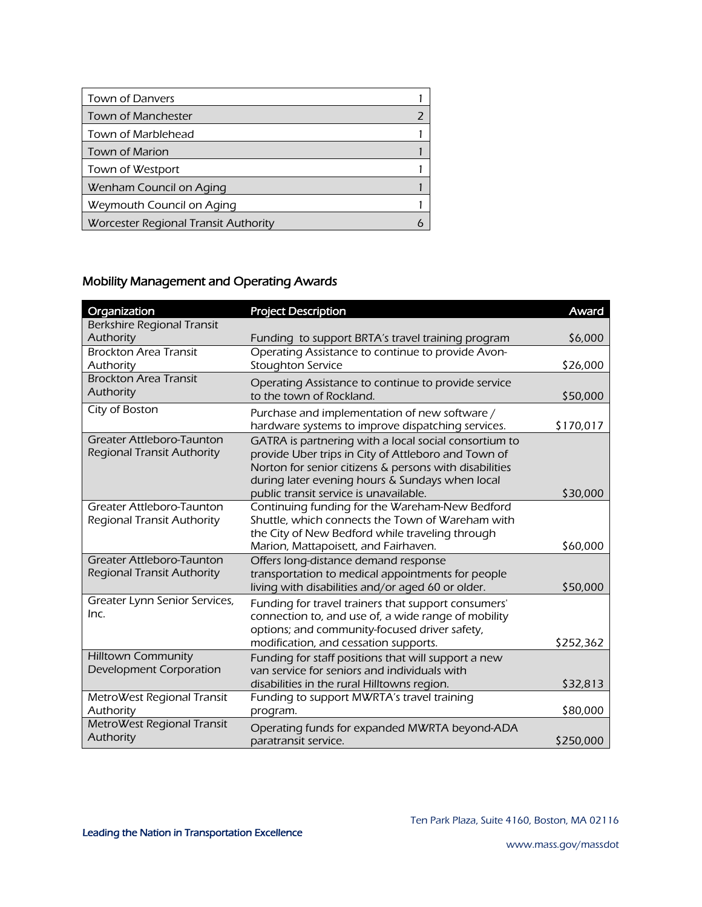| <b>Town of Danvers</b>               |  |
|--------------------------------------|--|
| <b>Town of Manchester</b>            |  |
| Town of Marblehead                   |  |
| <b>Town of Marion</b>                |  |
| Town of Westport                     |  |
| Wenham Council on Aging              |  |
| Weymouth Council on Aging            |  |
| Worcester Regional Transit Authority |  |

# Mobility Management and Operating Awards

| Organization                                                          | <b>Project Description</b>                                                                                                                                                                                                                                          | Award     |
|-----------------------------------------------------------------------|---------------------------------------------------------------------------------------------------------------------------------------------------------------------------------------------------------------------------------------------------------------------|-----------|
| <b>Berkshire Regional Transit</b>                                     |                                                                                                                                                                                                                                                                     |           |
| Authority                                                             | Funding to support BRTA's travel training program                                                                                                                                                                                                                   | \$6,000   |
| <b>Brockton Area Transit</b>                                          | Operating Assistance to continue to provide Avon-                                                                                                                                                                                                                   |           |
| Authority<br><b>Brockton Area Transit</b>                             | <b>Stoughton Service</b>                                                                                                                                                                                                                                            | \$26,000  |
| Authority                                                             | Operating Assistance to continue to provide service<br>to the town of Rockland.                                                                                                                                                                                     | \$50,000  |
| City of Boston                                                        | Purchase and implementation of new software /<br>hardware systems to improve dispatching services.                                                                                                                                                                  | \$170,017 |
| <b>Greater Attleboro-Taunton</b><br><b>Regional Transit Authority</b> | GATRA is partnering with a local social consortium to<br>provide Uber trips in City of Attleboro and Town of<br>Norton for senior citizens & persons with disabilities<br>during later evening hours & Sundays when local<br>public transit service is unavailable. | \$30,000  |
| Greater Attleboro-Taunton<br>Regional Transit Authority               | Continuing funding for the Wareham-New Bedford<br>Shuttle, which connects the Town of Wareham with<br>the City of New Bedford while traveling through<br>Marion, Mattapoisett, and Fairhaven.                                                                       | \$60,000  |
| <b>Greater Attleboro-Taunton</b><br><b>Regional Transit Authority</b> | Offers long-distance demand response<br>transportation to medical appointments for people<br>living with disabilities and/or aged 60 or older.                                                                                                                      | \$50,000  |
| Greater Lynn Senior Services,<br>Inc.                                 | Funding for travel trainers that support consumers'<br>connection to, and use of, a wide range of mobility<br>options; and community-focused driver safety,<br>modification, and cessation supports.                                                                | \$252,362 |
| <b>Hilltown Community</b><br>Development Corporation                  | Funding for staff positions that will support a new<br>van service for seniors and individuals with<br>disabilities in the rural Hilltowns region.                                                                                                                  | \$32,813  |
| MetroWest Regional Transit<br>Authority                               | Funding to support MWRTA's travel training<br>program.                                                                                                                                                                                                              | \$80,000  |
| MetroWest Regional Transit<br>Authority                               | Operating funds for expanded MWRTA beyond-ADA<br>paratransit service.                                                                                                                                                                                               | \$250,000 |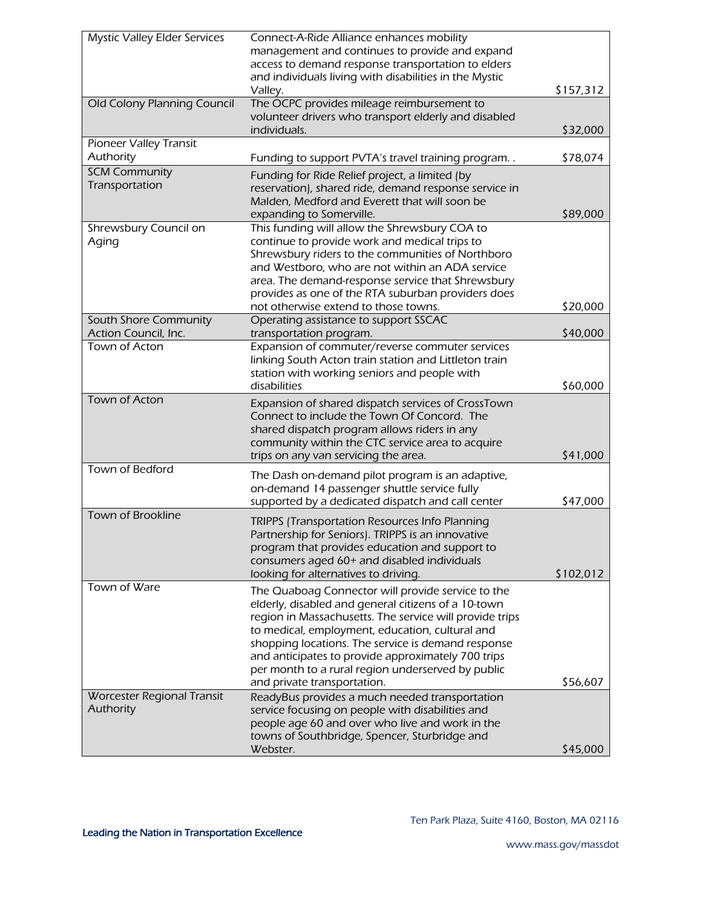| <b>Mystic Valley Elder Services</b> | Connect-A-Ride Alliance enhances mobility<br>management and continues to provide and expand<br>access to demand response transportation to elders |           |
|-------------------------------------|---------------------------------------------------------------------------------------------------------------------------------------------------|-----------|
|                                     | and individuals living with disabilities in the Mystic<br>Valley.                                                                                 | \$157,312 |
| Old Colony Planning Council         | The OCPC provides mileage reimbursement to                                                                                                        |           |
|                                     | volunteer drivers who transport elderly and disabled<br>individuals.                                                                              | \$32,000  |
| Pioneer Valley Transit              |                                                                                                                                                   |           |
| Authority                           | Funding to support PVTA's travel training program                                                                                                 | \$78,074  |
| <b>SCM Community</b>                | Funding for Ride Relief project, a limited (by                                                                                                    |           |
| Transportation                      | reservation), shared ride, demand response service in<br>Malden, Medford and Everett that will soon be                                            |           |
|                                     | expanding to Somerville.                                                                                                                          | \$89,000  |
| Shrewsbury Council on               | This funding will allow the Shrewsbury COA to                                                                                                     |           |
| Aging                               | continue to provide work and medical trips to                                                                                                     |           |
|                                     | Shrewsbury riders to the communities of Northboro<br>and Westboro, who are not within an ADA service                                              |           |
|                                     | area. The demand-response service that Shrewsbury                                                                                                 |           |
|                                     | provides as one of the RTA suburban providers does                                                                                                |           |
|                                     | not otherwise extend to those towns.                                                                                                              | \$20,000  |
| South Shore Community               | Operating assistance to support SSCAC                                                                                                             |           |
| Action Council, Inc.                | transportation program.                                                                                                                           | \$40,000  |
| Town of Acton                       | Expansion of commuter/reverse commuter services                                                                                                   |           |
|                                     | linking South Acton train station and Littleton train                                                                                             |           |
|                                     | station with working seniors and people with<br>disabilities                                                                                      | \$60,000  |
| Town of Acton                       | Expansion of shared dispatch services of CrossTown                                                                                                |           |
|                                     | Connect to include the Town Of Concord. The                                                                                                       |           |
|                                     | shared dispatch program allows riders in any                                                                                                      |           |
|                                     | community within the CTC service area to acquire                                                                                                  |           |
|                                     | trips on any van servicing the area.                                                                                                              | \$41,000  |
| Town of Bedford                     | The Dash on-demand pilot program is an adaptive,                                                                                                  |           |
|                                     | on-demand 14 passenger shuttle service fully                                                                                                      |           |
|                                     | supported by a dedicated dispatch and call center                                                                                                 | \$47,000  |
| Town of Brookline                   | <b>TRIPPS (Transportation Resources Info Planning</b>                                                                                             |           |
|                                     | Partnership for Seniors). TRIPPS is an innovative                                                                                                 |           |
|                                     | program that provides education and support to                                                                                                    |           |
|                                     | consumers aged 60+ and disabled individuals                                                                                                       |           |
| Town of Ware                        | looking for alternatives to driving.                                                                                                              | \$102,012 |
|                                     | The Quaboag Connector will provide service to the                                                                                                 |           |
|                                     | elderly, disabled and general citizens of a 10-town<br>region in Massachusetts. The service will provide trips                                    |           |
|                                     | to medical, employment, education, cultural and                                                                                                   |           |
|                                     | shopping locations. The service is demand response                                                                                                |           |
|                                     | and anticipates to provide approximately 700 trips                                                                                                |           |
|                                     | per month to a rural region underserved by public                                                                                                 |           |
|                                     | and private transportation.                                                                                                                       | \$56,607  |
| Worcester Regional Transit          | ReadyBus provides a much needed transportation                                                                                                    |           |
| Authority                           | service focusing on people with disabilities and                                                                                                  |           |
|                                     | people age 60 and over who live and work in the<br>towns of Southbridge, Spencer, Sturbridge and                                                  |           |
|                                     | Webster.                                                                                                                                          | \$45,000  |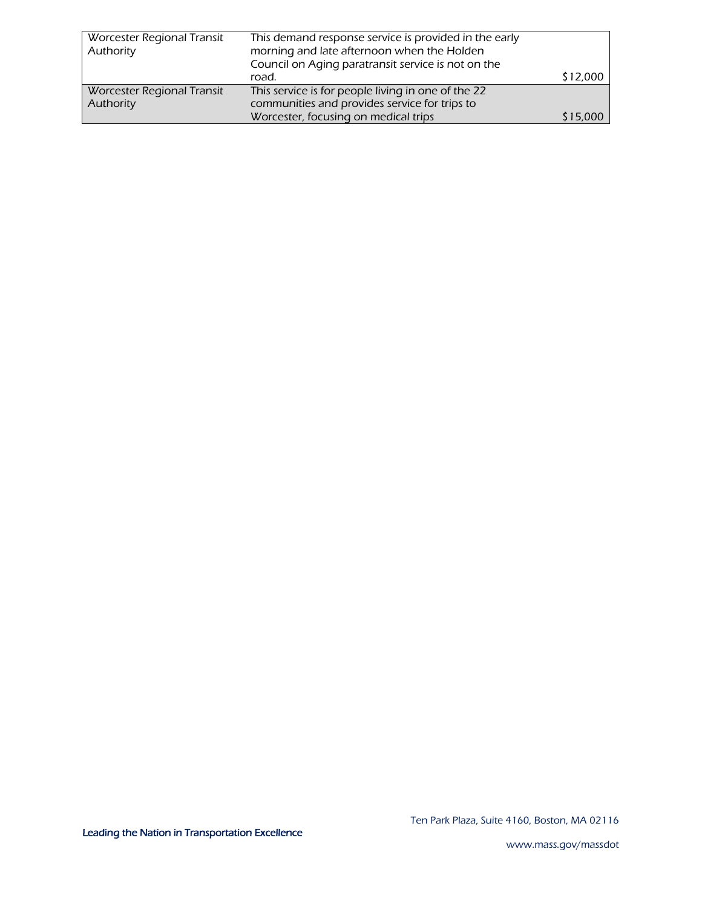| Worcester Regional Transit<br>Authority | This demand response service is provided in the early<br>morning and late afternoon when the Holden<br>Council on Aging paratransit service is not on the |          |
|-----------------------------------------|-----------------------------------------------------------------------------------------------------------------------------------------------------------|----------|
|                                         | road.                                                                                                                                                     | \$12,000 |
| Worcester Regional Transit              | This service is for people living in one of the 22                                                                                                        |          |
| Authority                               | communities and provides service for trips to                                                                                                             |          |
|                                         | Worcester, focusing on medical trips                                                                                                                      | \$15,000 |